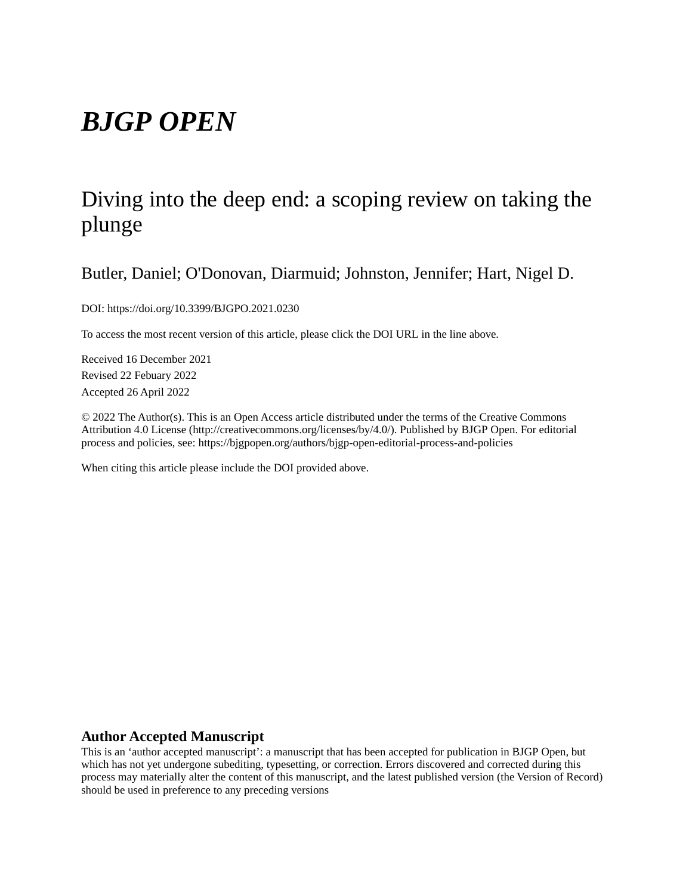# *BJGP OPEN*

## Diving into the deep end: a scoping review on taking the plunge

Butler, Daniel; O'Donovan, Diarmuid; Johnston, Jennifer; Hart, Nigel D.

DOI: https://doi.org/10.3399/BJGPO.2021.0230

To access the most recent version of this article, please click the DOI URL in the line above.

Received 16 December 2021 Revised 22 Febuary 2022 Accepted 26 April 2022

© 2022 The Author(s). This is an Open Access article distributed under the terms of the Creative Commons Attribution 4.0 License (http://creativecommons.org/licenses/by/4.0/). Published by BJGP Open. For editorial process and policies, see: https://bjgpopen.org/authors/bjgp-open-editorial-process-and-policies

When citing this article please include the DOI provided above.

#### **Author Accepted Manuscript**

This is an 'author accepted manuscript': a manuscript that has been accepted for publication in BJGP Open, but which has not yet undergone subediting, typesetting, or correction. Errors discovered and corrected during this process may materially alter the content of this manuscript, and the latest published version (the Version of Record) should be used in preference to any preceding versions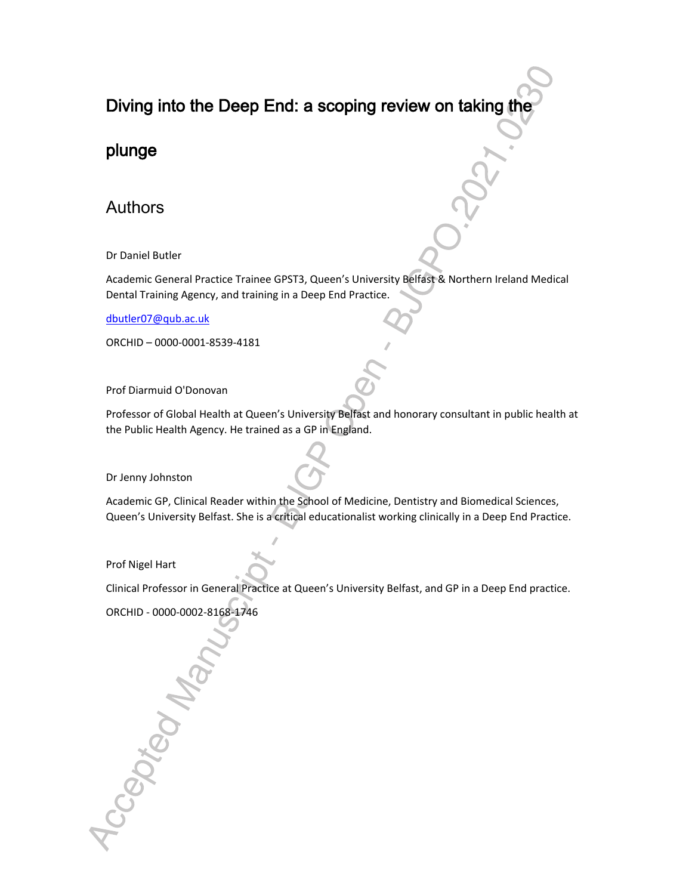## **Diving into the Deep End: a scoping review on taking the**

## **plunge**

## Authors

Dr Daniel Butler

Academic General Practice Trainee GPST3, Queen's University Belfast & Northern Ireland Medical Dental Training Agency, and training in a Deep End Practice.

dbutler07@qub.ac.uk

ORCHID – 0000-0001-8539-4181

Prof Diarmuid O'Donovan

Professor of Global Health at Queen's University Belfast and honorary consultant in public health at the Public Health Agency. He trained as a GP in England.

Dr Jenny Johnston

Academic GP, Clinical Reader within the School of Medicine, Dentistry and Biomedical Sciences, Queen's University Belfast. She is a critical educationalist working clinically in a Deep End Practice.

Prof Nigel Hart

Clinical Professor in General Practice at Queen's University Belfast, and GP in a Deep End practice.

ORCHID - 0000-0002-8168-1746

Accepted Manu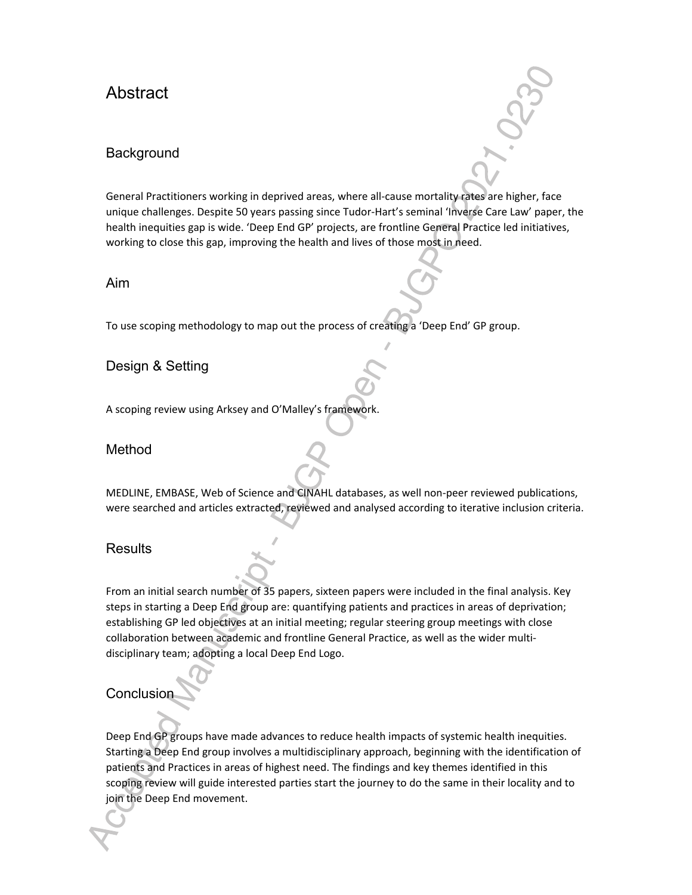## Abstract

#### **Background**

General Practitioners working in deprived areas, where all-cause mortality rates are higher, face unique challenges. Despite 50 years passing since Tudor-Hart's seminal 'Inverse Care Law' paper, the health inequities gap is wide. 'Deep End GP' projects, are frontline General Practice led initiatives, working to close this gap, improving the health and lives of those most in need.

#### Aim

To use scoping methodology to map out the process of creating a 'Deep End' GP group.

#### Design & Setting

A scoping review using Arksey and O'Malley's framework.

#### Method

MEDLINE, EMBASE, Web of Science and CINAHL databases, as well non-peer reviewed publications, were searched and articles extracted, reviewed and analysed according to iterative inclusion criteria.

#### **Results**

From an initial search number of 35 papers, sixteen papers were included in the final analysis. Key steps in starting a Deep End group are: quantifying patients and practices in areas of deprivation; establishing GP led objectives at an initial meeting; regular steering group meetings with close collaboration between academic and frontline General Practice, as well as the wider multidisciplinary team; adopting a local Deep End Logo.

#### **Conclusion**

Deep End GP groups have made advances to reduce health impacts of systemic health inequities. Starting a Deep End group involves a multidisciplinary approach, beginning with the identification of patients and Practices in areas of highest need. The findings and key themes identified in this scoping review will guide interested parties start the journey to do the same in their locality and to join the Deep End movement.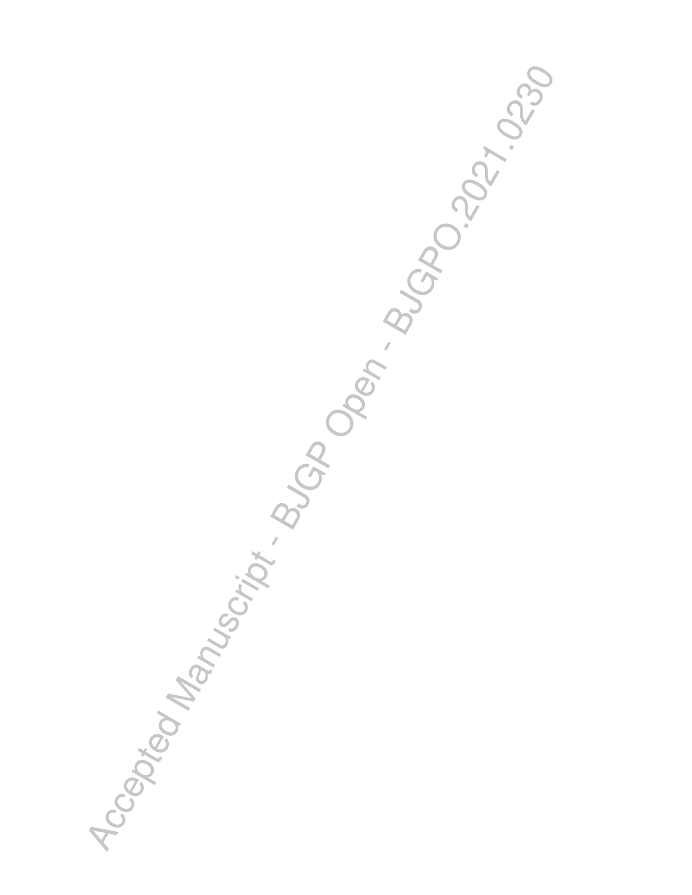Accepted Manuscript - BUCK BORD - BUCKON C-BD.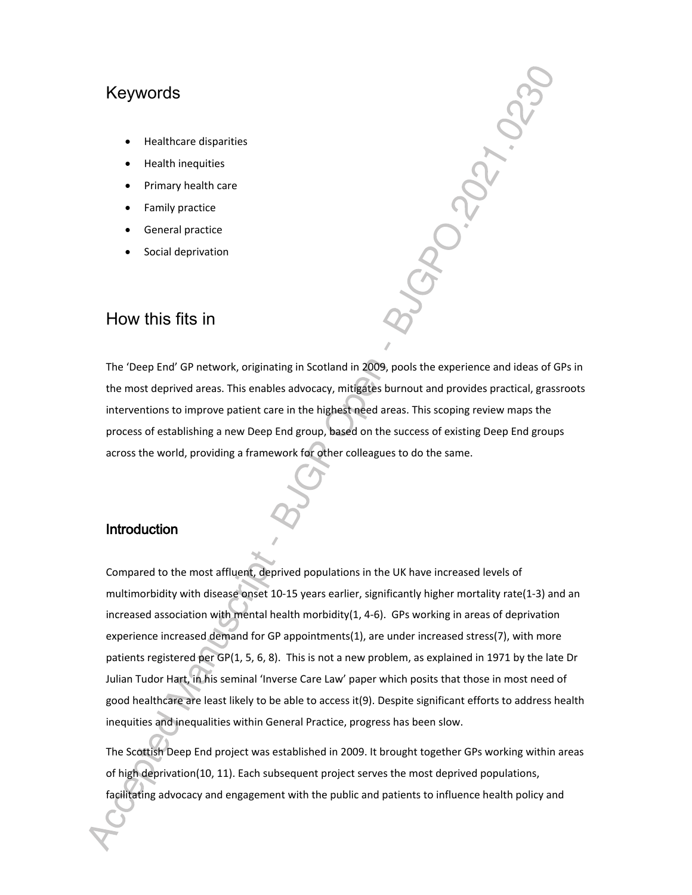## Keywords

- Healthcare disparities
- Health inequities
- Primary health care
- Family practice
- General practice
- Social deprivation

## How this fits in

The 'Deep End' GP network, originating in Scotland in 2009, pools the experience and ideas of GPs in the most deprived areas. This enables advocacy, mitigates burnout and provides practical, grassroots interventions to improve patient care in the highest need areas. This scoping review maps the process of establishing a new Deep End group, based on the success of existing Deep End groups across the world, providing a framework for other colleagues to do the same.

BUSINE ORDINGS

#### **Introduction**

Compared to the most affluent, deprived populations in the UK have increased levels of multimorbidity with disease onset 10-15 years earlier, significantly higher mortality rate(1-3) and an increased association with mental health morbidity(1, 4-6). GPs working in areas of deprivation experience increased demand for GP appointments(1), are under increased stress(7), with more patients registered per GP(1, 5, 6, 8). This is not a new problem, as explained in 1971 by the late Dr Julian Tudor Hart, in his seminal 'Inverse Care Law' paper which posits that those in most need of good healthcare are least likely to be able to access it(9). Despite significant efforts to address health inequities and inequalities within General Practice, progress has been slow.

The Scottish Deep End project was established in 2009. It brought together GPs working within areas of high deprivation(10, 11). Each subsequent project serves the most deprived populations, facilitating advocacy and engagement with the public and patients to influence health policy and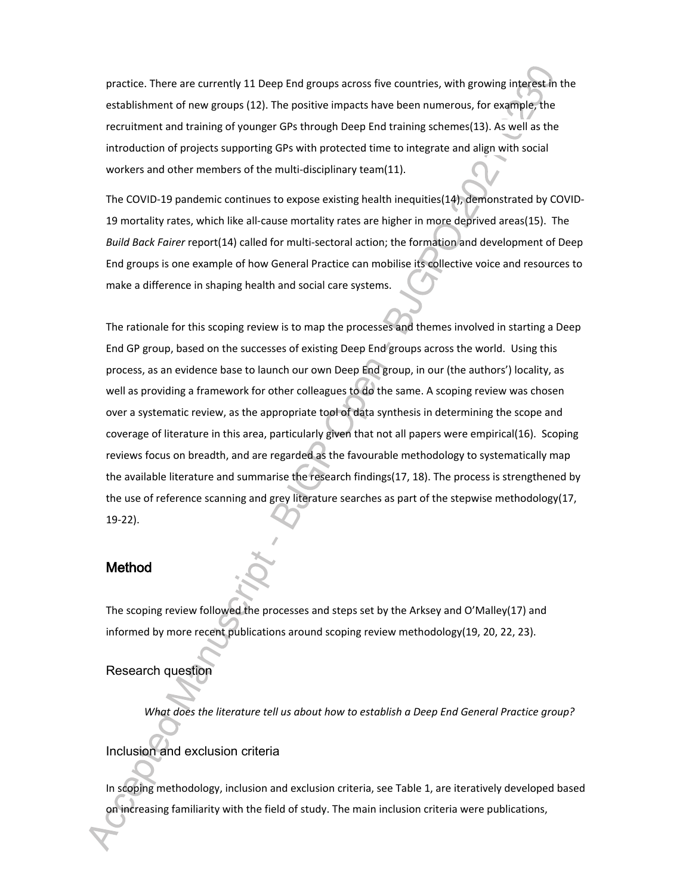practice. There are currently 11 Deep End groups across five countries, with growing interest in the establishment of new groups (12). The positive impacts have been numerous, for example, the recruitment and training of younger GPs through Deep End training schemes(13). As well as the introduction of projects supporting GPs with protected time to integrate and align with social workers and other members of the multi-disciplinary team(11).

The COVID-19 pandemic continues to expose existing health inequities(14), demonstrated by COVID-19 mortality rates, which like all-cause mortality rates are higher in more deprived areas(15). The *Build Back Fairer* report(14) called for multi-sectoral action; the formation and development of Deep End groups is one example of how General Practice can mobilise its collective voice and resources to make a difference in shaping health and social care systems.

The rationale for this scoping review is to map the processes and themes involved in starting a Deep End GP group, based on the successes of existing Deep End groups across the world. Using this process, as an evidence base to launch our own Deep End group, in our (the authors') locality, as well as providing a framework for other colleagues to do the same. A scoping review was chosen over a systematic review, as the appropriate tool of data synthesis in determining the scope and coverage of literature in this area, particularly given that not all papers were empirical(16). Scoping reviews focus on breadth, and are regarded as the favourable methodology to systematically map the available literature and summarise the research findings(17, 18). The process is strengthened by the use of reference scanning and grey literature searches as part of the stepwise methodology(17, 19-22).

#### **Method**

The scoping review followed the processes and steps set by the Arksey and O'Malley(17) and informed by more recent publications around scoping review methodology(19, 20, 22, 23).

#### Research question

*What does the literature tell us about how to establish a Deep End General Practice group?*

#### Inclusion and exclusion criteria

In scoping methodology, inclusion and exclusion criteria, see Table 1, are iteratively developed based on increasing familiarity with the field of study. The main inclusion criteria were publications,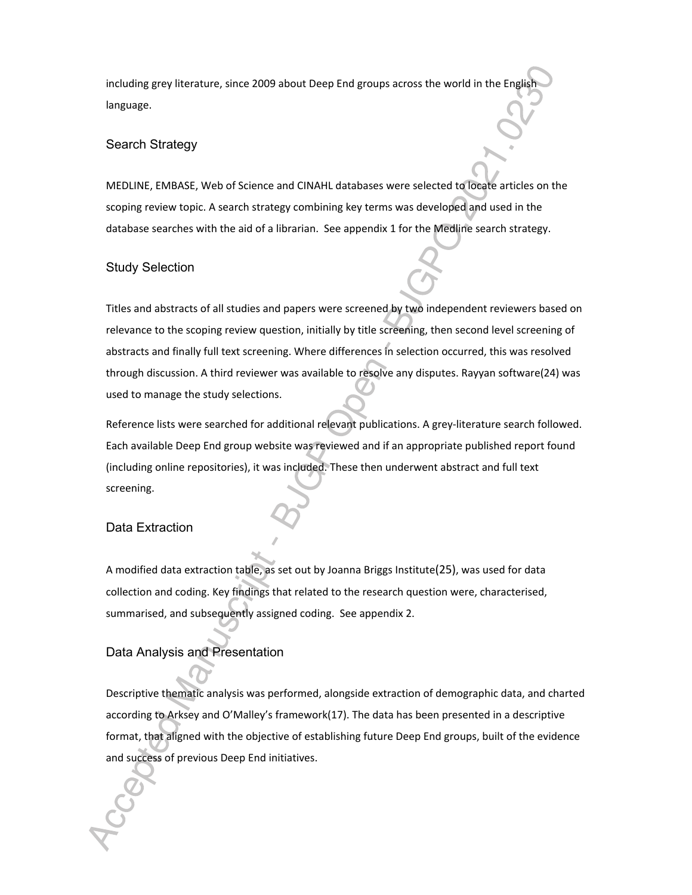including grey literature, since 2009 about Deep End groups across the world in the English language.

#### Search Strategy

MEDLINE, EMBASE, Web of Science and CINAHL databases were selected to locate articles on the scoping review topic. A search strategy combining key terms was developed and used in the database searches with the aid of a librarian. See appendix 1 for the Medline search strategy.

#### Study Selection

Titles and abstracts of all studies and papers were screened by two independent reviewers based on relevance to the scoping review question, initially by title screening, then second level screening of abstracts and finally full text screening. Where differences in selection occurred, this was resolved through discussion. A third reviewer was available to resolve any disputes. Rayyan software(24) was used to manage the study selections.

Reference lists were searched for additional relevant publications. A grey-literature search followed. Each available Deep End group website was reviewed and if an appropriate published report found (including online repositories), it was included. These then underwent abstract and full text screening.

#### Data Extraction

A modified data extraction table, as set out by Joanna Briggs Institute(25), was used for data collection and coding. Key findings that related to the research question were, characterised, summarised, and subsequently assigned coding. See appendix 2.

#### Data Analysis and Presentation

Descriptive thematic analysis was performed, alongside extraction of demographic data, and charted according to Arksey and O'Malley's framework(17). The data has been presented in a descriptive format, that aligned with the objective of establishing future Deep End groups, built of the evidence and success of previous Deep End initiatives.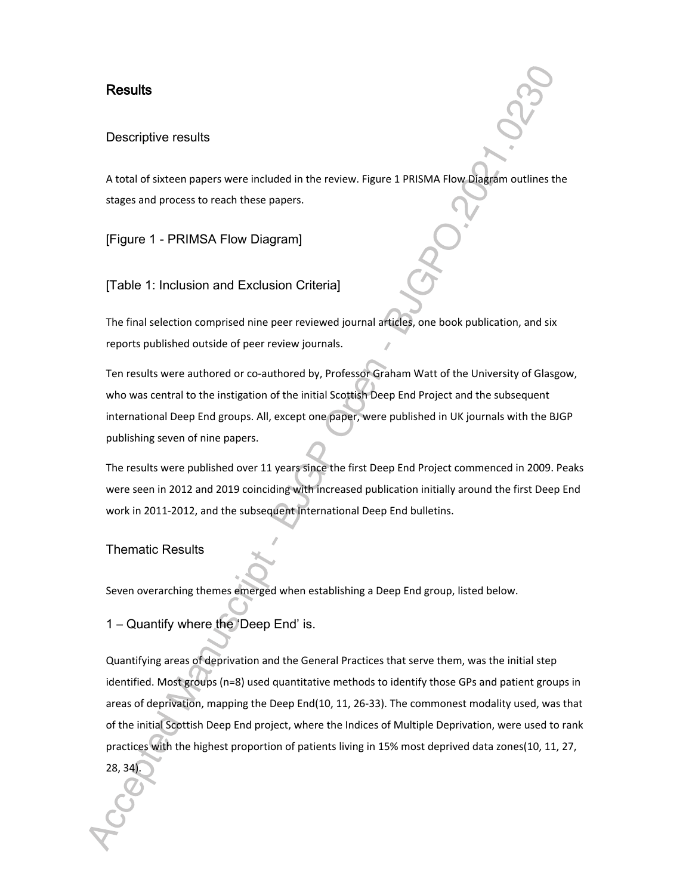#### **Results**

#### Descriptive results

A total of sixteen papers were included in the review. Figure 1 PRISMA Flow Diagram outlines the stages and process to reach these papers.

[Figure 1 - PRIMSA Flow Diagram]

[Table 1: Inclusion and Exclusion Criteria]

The final selection comprised nine peer reviewed journal articles, one book publication, and six reports published outside of peer review journals.

Ten results were authored or co-authored by, Professor Graham Watt of the University of Glasgow, who was central to the instigation of the initial Scottish Deep End Project and the subsequent international Deep End groups. All, except one paper, were published in UK journals with the BJGP publishing seven of nine papers.

The results were published over 11 years since the first Deep End Project commenced in 2009. Peaks were seen in 2012 and 2019 coinciding with increased publication initially around the first Deep End work in 2011-2012, and the subsequent International Deep End bulletins.

Thematic Results

28, 34).

Seven overarching themes emerged when establishing a Deep End group, listed below.

1 – Quantify where the 'Deep End' is.

Quantifying areas of deprivation and the General Practices that serve them, was the initial step identified. Most groups (n=8) used quantitative methods to identify those GPs and patient groups in areas of deprivation, mapping the Deep End(10, 11, 26-33). The commonest modality used, was that of the initial Scottish Deep End project, where the Indices of Multiple Deprivation, were used to rank practices with the highest proportion of patients living in 15% most deprived data zones(10, 11, 27,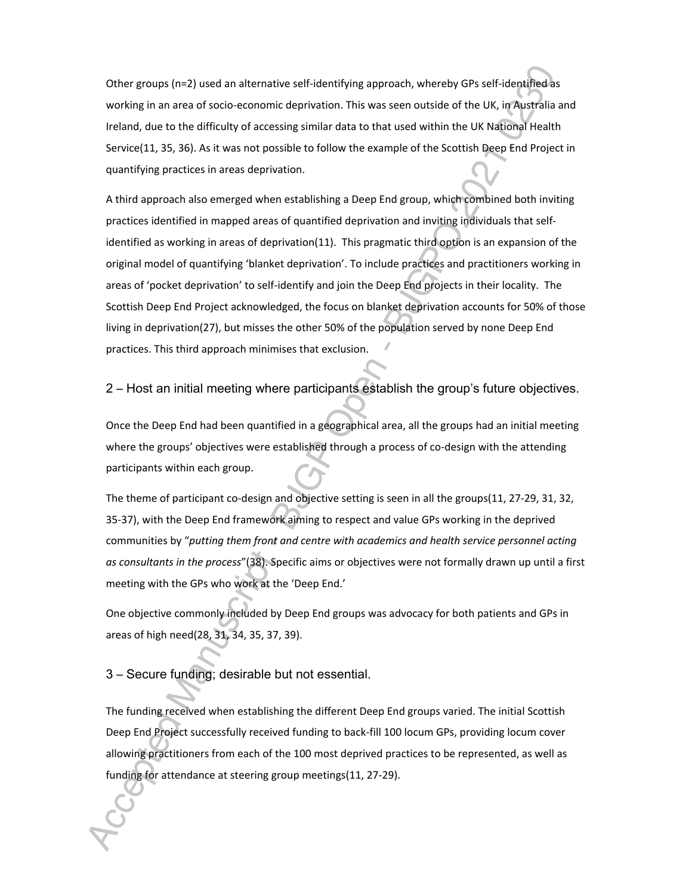Other groups (n=2) used an alternative self-identifying approach, whereby GPs self-identified as working in an area of socio-economic deprivation. This was seen outside of the UK, in Australia and Ireland, due to the difficulty of accessing similar data to that used within the UK National Health Service(11, 35, 36). As it was not possible to follow the example of the Scottish Deep End Project in quantifying practices in areas deprivation.

A third approach also emerged when establishing a Deep End group, which combined both inviting practices identified in mapped areas of quantified deprivation and inviting individuals that selfidentified as working in areas of deprivation(11). This pragmatic third option is an expansion of the original model of quantifying 'blanket deprivation'. To include practices and practitioners working in areas of 'pocket deprivation' to self-identify and join the Deep End projects in their locality. The Scottish Deep End Project acknowledged, the focus on blanket deprivation accounts for 50% of those living in deprivation(27), but misses the other 50% of the population served by none Deep End practices. This third approach minimises that exclusion.

2 – Host an initial meeting where participants establish the group's future objectives.

Once the Deep End had been quantified in a geographical area, all the groups had an initial meeting where the groups' objectives were established through a process of co-design with the attending participants within each group.

The theme of participant co-design and objective setting is seen in all the groups(11, 27-29, 31, 32, 35-37), with the Deep End framework aiming to respect and value GPs working in the deprived communities by "*putting them front and centre with academics and health service personnel acting as consultants in the process*"(38). Specific aims or objectives were not formally drawn up until a first meeting with the GPs who work at the 'Deep End.'

One objective commonly included by Deep End groups was advocacy for both patients and GPs in areas of high need(28, 31, 34, 35, 37, 39).

3 – Secure funding; desirable but not essential.

The funding received when establishing the different Deep End groups varied. The initial Scottish Deep End Project successfully received funding to back-fill 100 locum GPs, providing locum cover allowing practitioners from each of the 100 most deprived practices to be represented, as well as funding for attendance at steering group meetings(11, 27-29).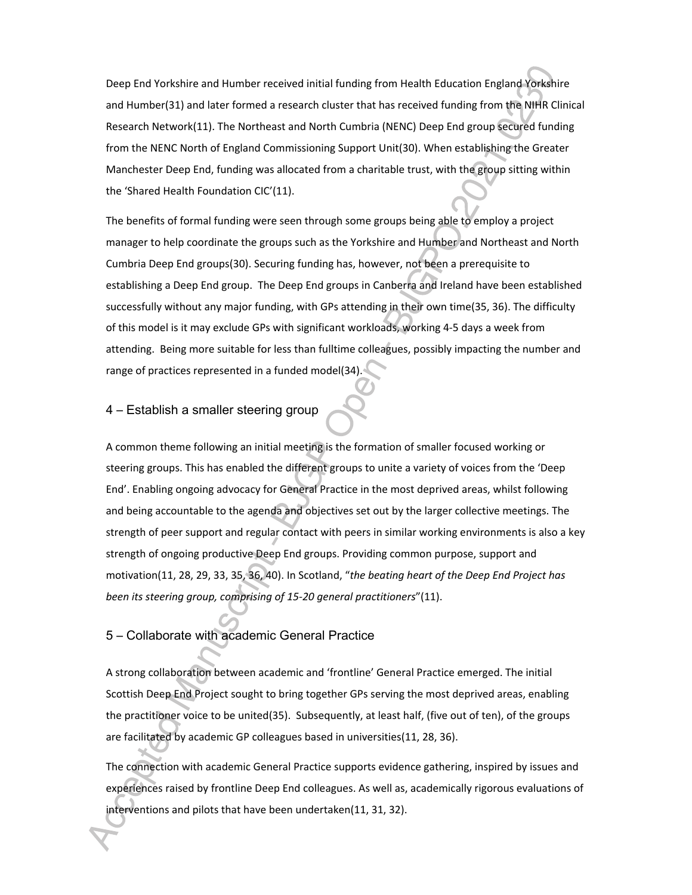Deep End Yorkshire and Humber received initial funding from Health Education England Yorkshire and Humber(31) and later formed a research cluster that has received funding from the NIHR Clinical Research Network(11). The Northeast and North Cumbria (NENC) Deep End group secured funding from the NENC North of England Commissioning Support Unit(30). When establishing the Greater Manchester Deep End, funding was allocated from a charitable trust, with the group sitting within the 'Shared Health Foundation CIC'(11).

The benefits of formal funding were seen through some groups being able to employ a project manager to help coordinate the groups such as the Yorkshire and Humber and Northeast and North Cumbria Deep End groups(30). Securing funding has, however, not been a prerequisite to establishing a Deep End group. The Deep End groups in Canberra and Ireland have been established successfully without any major funding, with GPs attending in their own time(35, 36). The difficulty of this model is it may exclude GPs with significant workloads, working 4-5 days a week from attending. Being more suitable for less than fulltime colleagues, possibly impacting the number and range of practices represented in a funded model(34).

#### 4 – Establish a smaller steering group

A common theme following an initial meeting is the formation of smaller focused working or steering groups. This has enabled the different groups to unite a variety of voices from the 'Deep End'. Enabling ongoing advocacy for General Practice in the most deprived areas, whilst following and being accountable to the agenda and objectives set out by the larger collective meetings. The strength of peer support and regular contact with peers in similar working environments is also a key strength of ongoing productive Deep End groups. Providing common purpose, support and motivation(11, 28, 29, 33, 35, 36, 40). In Scotland, "*the beating heart of the Deep End Project has been its steering group, comprising of 15-20 general practitioners*"(11).

#### 5 – Collaborate with academic General Practice

A strong collaboration between academic and 'frontline' General Practice emerged. The initial Scottish Deep End Project sought to bring together GPs serving the most deprived areas, enabling the practitioner voice to be united(35). Subsequently, at least half, (five out of ten), of the groups are facilitated by academic GP colleagues based in universities(11, 28, 36).

The connection with academic General Practice supports evidence gathering, inspired by issues and experiences raised by frontline Deep End colleagues. As well as, academically rigorous evaluations of interventions and pilots that have been undertaken(11, 31, 32).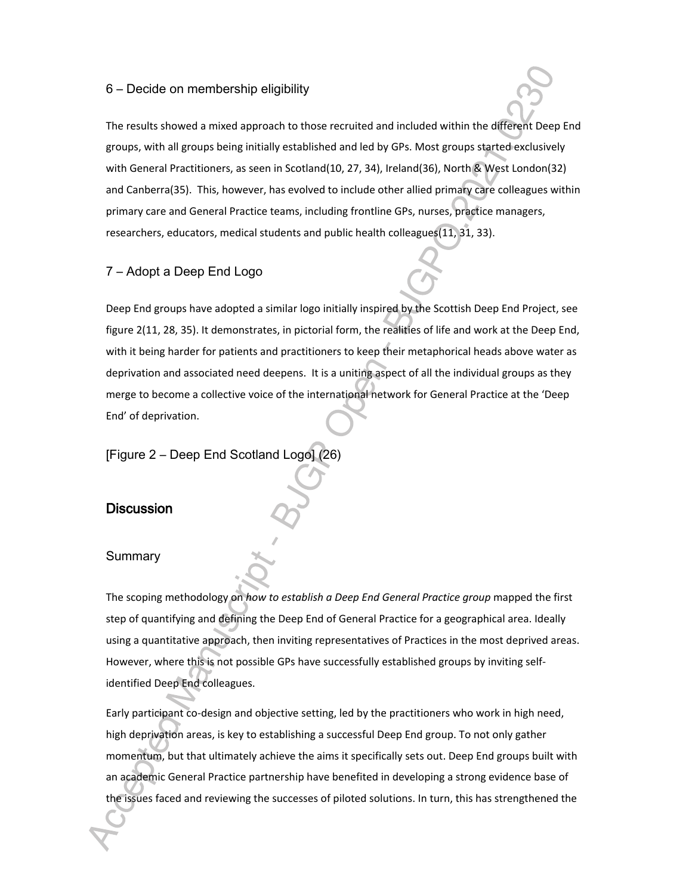#### 6 – Decide on membership eligibility

The results showed a mixed approach to those recruited and included within the different Deep End groups, with all groups being initially established and led by GPs. Most groups started exclusively with General Practitioners, as seen in Scotland(10, 27, 34), Ireland(36), North & West London(32) and Canberra(35). This, however, has evolved to include other allied primary care colleagues within primary care and General Practice teams, including frontline GPs, nurses, practice managers, researchers, educators, medical students and public health colleagues(11, 31, 33).

#### 7 – Adopt a Deep End Logo

Deep End groups have adopted a similar logo initially inspired by the Scottish Deep End Project, see figure 2(11, 28, 35). It demonstrates, in pictorial form, the realities of life and work at the Deep End, with it being harder for patients and practitioners to keep their metaphorical heads above water as deprivation and associated need deepens. It is a uniting aspect of all the individual groups as they merge to become a collective voice of the international network for General Practice at the 'Deep End' of deprivation.

#### [Figure 2 – Deep End Scotland Logo] (26)

#### **Discussion**

#### **Summary**

The scoping methodology on *how to establish a Deep End General Practice group* mapped the first step of quantifying and defining the Deep End of General Practice for a geographical area. Ideally using a quantitative approach, then inviting representatives of Practices in the most deprived areas. However, where this is not possible GPs have successfully established groups by inviting selfidentified Deep End colleagues.

Early participant co-design and objective setting, led by the practitioners who work in high need, high deprivation areas, is key to establishing a successful Deep End group. To not only gather momentum, but that ultimately achieve the aims it specifically sets out. Deep End groups built with an academic General Practice partnership have benefited in developing a strong evidence base of the issues faced and reviewing the successes of piloted solutions. In turn, this has strengthened the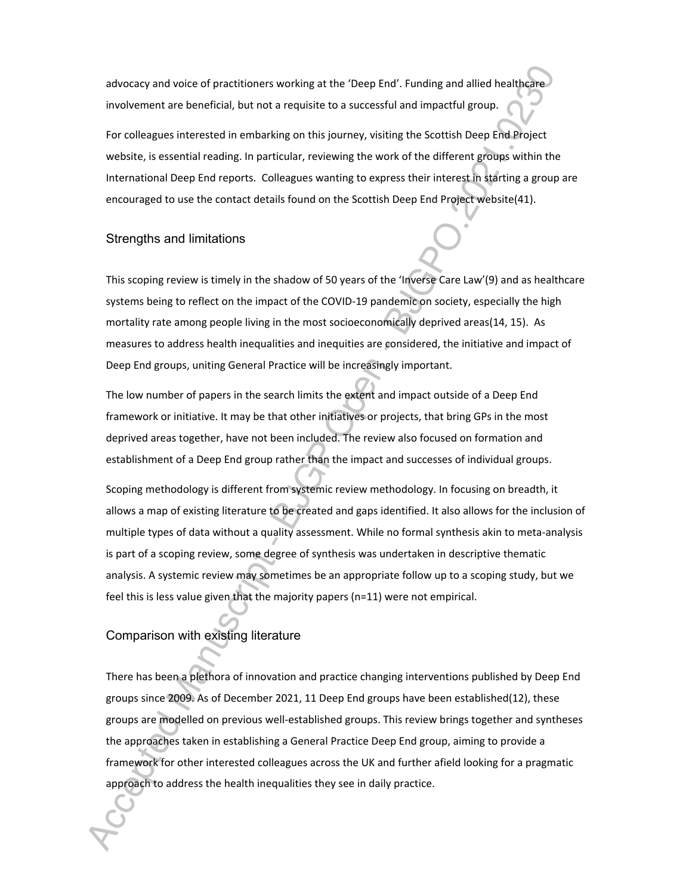advocacy and voice of practitioners working at the 'Deep End'. Funding and allied healthcare involvement are beneficial, but not a requisite to a successful and impactful group.

For colleagues interested in embarking on this journey, visiting the Scottish Deep End Project website, is essential reading. In particular, reviewing the work of the different groups within the International Deep End reports. Colleagues wanting to express their interest in starting a group are encouraged to use the contact details found on the Scottish Deep End Project website(41).

#### Strengths and limitations

This scoping review is timely in the shadow of 50 years of the 'Inverse Care Law'(9) and as healthcare systems being to reflect on the impact of the COVID-19 pandemic on society, especially the high mortality rate among people living in the most socioeconomically deprived areas(14, 15). As measures to address health inequalities and inequities are considered, the initiative and impact of Deep End groups, uniting General Practice will be increasingly important.

The low number of papers in the search limits the extent and impact outside of a Deep End framework or initiative. It may be that other initiatives or projects, that bring GPs in the most deprived areas together, have not been included. The review also focused on formation and establishment of a Deep End group rather than the impact and successes of individual groups.

Scoping methodology is different from systemic review methodology. In focusing on breadth, it allows a map of existing literature to be created and gaps identified. It also allows for the inclusion of multiple types of data without a quality assessment. While no formal synthesis akin to meta-analysis is part of a scoping review, some degree of synthesis was undertaken in descriptive thematic analysis. A systemic review may sometimes be an appropriate follow up to a scoping study, but we feel this is less value given that the majority papers (n=11) were not empirical.

### Comparison with existing literature

There has been a plethora of innovation and practice changing interventions published by Deep End groups since 2009. As of December 2021, 11 Deep End groups have been established(12), these groups are modelled on previous well-established groups. This review brings together and syntheses the approaches taken in establishing a General Practice Deep End group, aiming to provide a framework for other interested colleagues across the UK and further afield looking for a pragmatic approach to address the health inequalities they see in daily practice.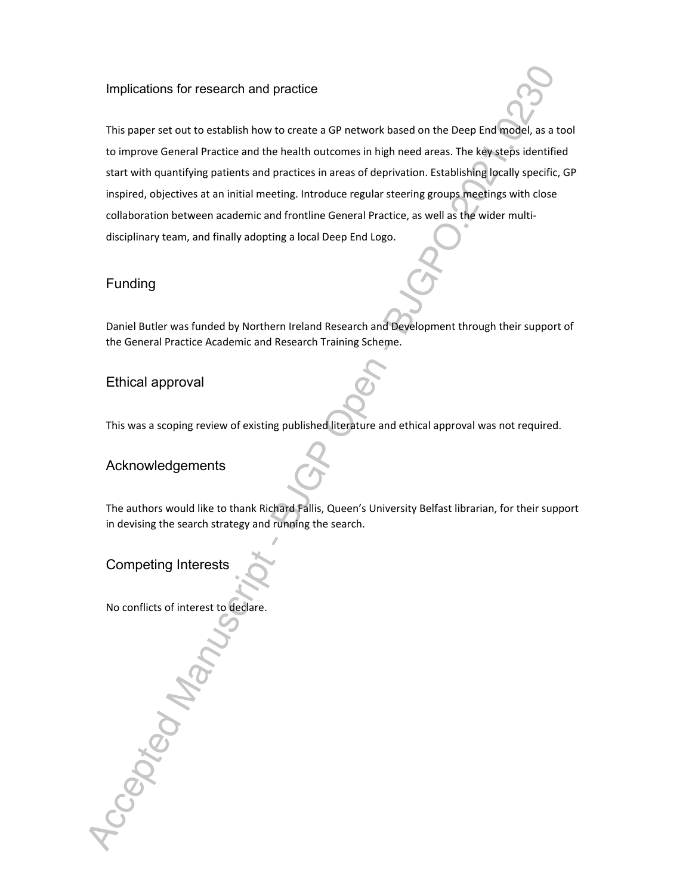#### Implications for research and practice

This paper set out to establish how to create a GP network based on the Deep End model, as a tool to improve General Practice and the health outcomes in high need areas. The key steps identified start with quantifying patients and practices in areas of deprivation. Establishing locally specific, GP inspired, objectives at an initial meeting. Introduce regular steering groups meetings with close collaboration between academic and frontline General Practice, as well as the wider multidisciplinary team, and finally adopting a local Deep End Logo.

#### Funding

Daniel Butler was funded by Northern Ireland Research and Development through their support of the General Practice Academic and Research Training Scheme.

#### Ethical approval

This was a scoping review of existing published literature and ethical approval was not required.

#### Acknowledgements

The authors would like to thank Richard Fallis, Queen's University Belfast librarian, for their support in devising the search strategy and running the search.

### Competing Interests

Accepted Manu

No conflicts of interest to declare.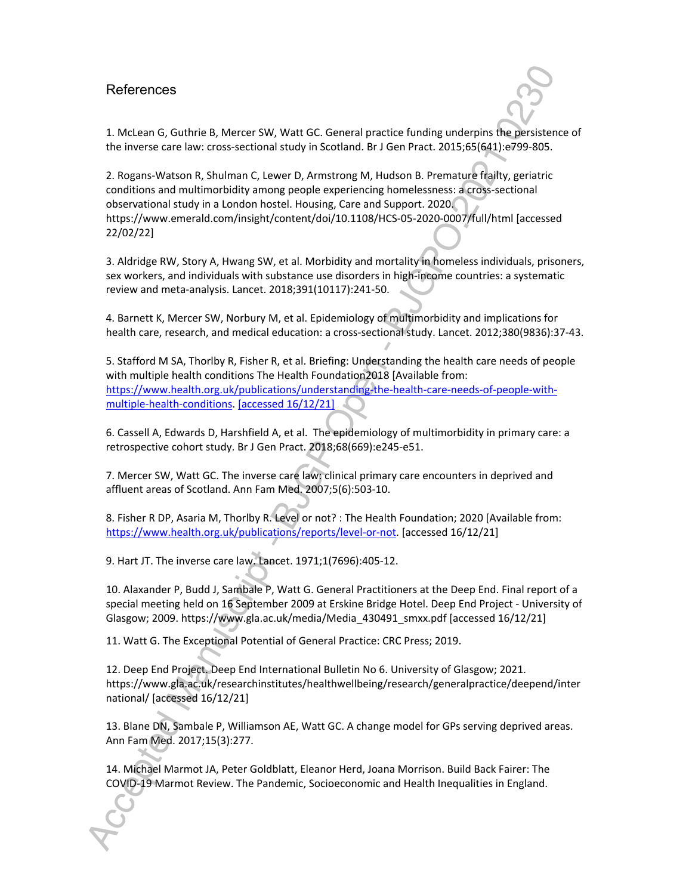#### References

1. McLean G, Guthrie B, Mercer SW, Watt GC. General practice funding underpins the persistence of the inverse care law: cross-sectional study in Scotland. Br J Gen Pract. 2015;65(641):e799-805.

2. Rogans-Watson R, Shulman C, Lewer D, Armstrong M, Hudson B. Premature frailty, geriatric conditions and multimorbidity among people experiencing homelessness: a cross-sectional observational study in a London hostel. Housing, Care and Support. 2020. https://www.emerald.com/insight/content/doi/10.1108/HCS-05-2020-0007/full/html [accessed 22/02/22]

3. Aldridge RW, Story A, Hwang SW, et al. Morbidity and mortality in homeless individuals, prisoners, sex workers, and individuals with substance use disorders in high-income countries: a systematic review and meta-analysis. Lancet. 2018;391(10117):241-50.

4. Barnett K, Mercer SW, Norbury M, et al. Epidemiology of multimorbidity and implications for health care, research, and medical education: a cross-sectional study. Lancet. 2012;380(9836):37-43.

5. Stafford M SA, Thorlby R, Fisher R, et al. Briefing: Understanding the health care needs of people with multiple health conditions The Health Foundation2018 [Available from: https://www.health.org.uk/publications/understanding-the-health-care-needs-of-people-withmultiple-health-conditions. [accessed 16/12/21]

6. Cassell A, Edwards D, Harshfield A, et al. The epidemiology of multimorbidity in primary care: a retrospective cohort study. Br J Gen Pract. 2018;68(669):e245-e51.

7. Mercer SW, Watt GC. The inverse care law: clinical primary care encounters in deprived and affluent areas of Scotland. Ann Fam Med. 2007;5(6):503-10.

8. Fisher R DP, Asaria M, Thorlby R. Level or not? : The Health Foundation; 2020 [Available from: https://www.health.org.uk/publications/reports/level-or-not. [accessed 16/12/21]

9. Hart JT. The inverse care law. Lancet. 1971;1(7696):405-12.

10. Alaxander P, Budd J, Sambale P, Watt G. General Practitioners at the Deep End. Final report of a special meeting held on 16 September 2009 at Erskine Bridge Hotel. Deep End Project - University of Glasgow; 2009. https://www.gla.ac.uk/media/Media\_430491\_smxx.pdf [accessed 16/12/21]

11. Watt G. The Exceptional Potential of General Practice: CRC Press; 2019.

12. Deep End Project. Deep End International Bulletin No 6. University of Glasgow; 2021. https://www.gla.ac.uk/researchinstitutes/healthwellbeing/research/generalpractice/deepend/inter national/ [accessed 16/12/21]

13. Blane DN, Sambale P, Williamson AE, Watt GC. A change model for GPs serving deprived areas. Ann Fam Med. 2017;15(3):277.

14. Michael Marmot JA, Peter Goldblatt, Eleanor Herd, Joana Morrison. Build Back Fairer: The COVID-19 Marmot Review. The Pandemic, Socioeconomic and Health Inequalities in England.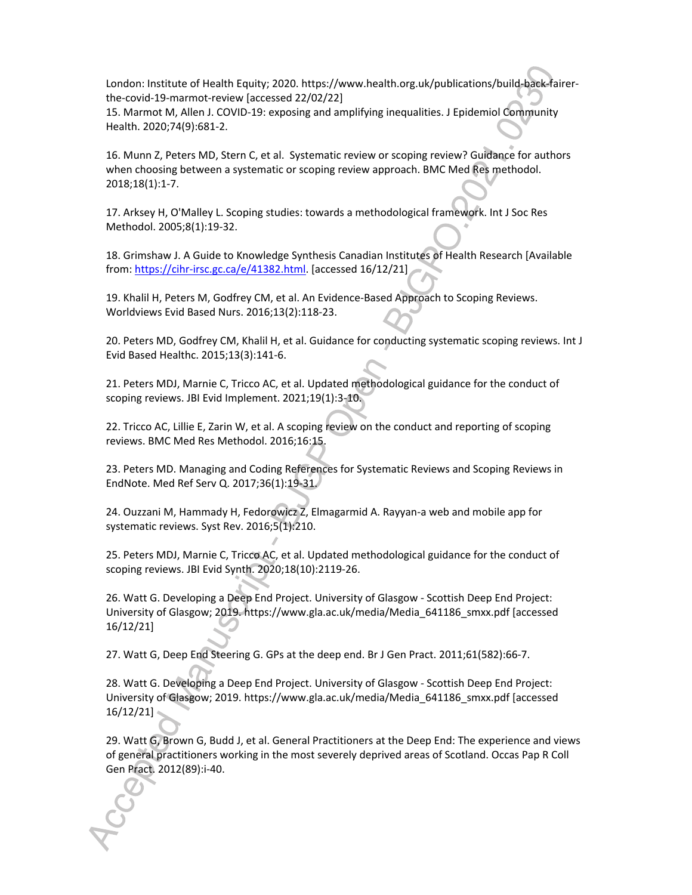London: Institute of Health Equity; 2020. https://www.health.org.uk/publications/build-back-fairerthe-covid-19-marmot-review [accessed 22/02/22]

15. Marmot M, Allen J. COVID-19: exposing and amplifying inequalities. J Epidemiol Community Health. 2020;74(9):681-2.

16. Munn Z, Peters MD, Stern C, et al. Systematic review or scoping review? Guidance for authors when choosing between a systematic or scoping review approach. BMC Med Res methodol. 2018;18(1):1-7.

17. Arksey H, O'Malley L. Scoping studies: towards a methodological framework. Int J Soc Res Methodol. 2005;8(1):19-32.

18. Grimshaw J. A Guide to Knowledge Synthesis Canadian Institutes of Health Research [Available from: https://cihr-irsc.gc.ca/e/41382.html. [accessed 16/12/21]

19. Khalil H, Peters M, Godfrey CM, et al. An Evidence-Based Approach to Scoping Reviews. Worldviews Evid Based Nurs. 2016;13(2):118-23.

20. Peters MD, Godfrey CM, Khalil H, et al. Guidance for conducting systematic scoping reviews. Int J Evid Based Healthc. 2015;13(3):141-6.

21. Peters MDJ, Marnie C, Tricco AC, et al. Updated methodological guidance for the conduct of scoping reviews. JBI Evid Implement. 2021;19(1):3-10.

22. Tricco AC, Lillie E, Zarin W, et al. A scoping review on the conduct and reporting of scoping reviews. BMC Med Res Methodol. 2016;16:15.

23. Peters MD. Managing and Coding References for Systematic Reviews and Scoping Reviews in EndNote. Med Ref Serv Q. 2017;36(1):19-31.

24. Ouzzani M, Hammady H, Fedorowicz Z, Elmagarmid A. Rayyan-a web and mobile app for systematic reviews. Syst Rev. 2016;5(1):210.

25. Peters MDJ, Marnie C, Tricco AC, et al. Updated methodological guidance for the conduct of scoping reviews. JBI Evid Synth. 2020;18(10):2119-26.

26. Watt G. Developing a Deep End Project. University of Glasgow - Scottish Deep End Project: University of Glasgow; 2019. https://www.gla.ac.uk/media/Media\_641186\_smxx.pdf [accessed 16/12/21]

27. Watt G, Deep End Steering G. GPs at the deep end. Br J Gen Pract. 2011;61(582):66-7.

28. Watt G. Developing a Deep End Project. University of Glasgow - Scottish Deep End Project: University of Glasgow; 2019. https://www.gla.ac.uk/media/Media\_641186\_smxx.pdf [accessed  $16/12/21$ 

29. Watt G, Brown G, Budd J, et al. General Practitioners at the Deep End: The experience and views of general practitioners working in the most severely deprived areas of Scotland. Occas Pap R Coll Gen Pract. 2012(89):i-40.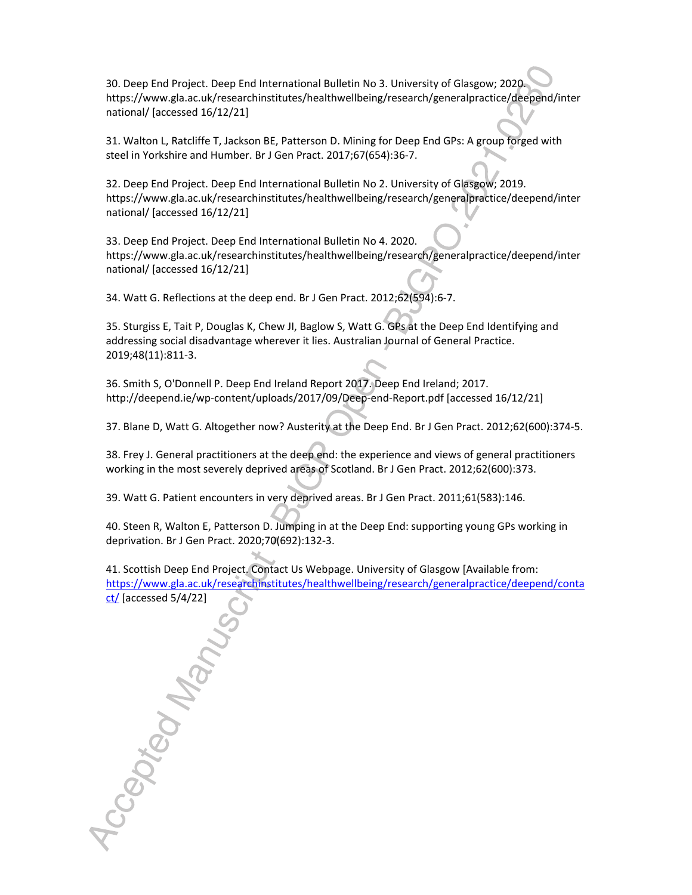30. Deep End Project. Deep End International Bulletin No 3. University of Glasgow; 2020. https://www.gla.ac.uk/researchinstitutes/healthwellbeing/research/generalpractice/deepend/inter national/ [accessed 16/12/21]

31. Walton L, Ratcliffe T, Jackson BE, Patterson D. Mining for Deep End GPs: A group forged with steel in Yorkshire and Humber. Br J Gen Pract. 2017;67(654):36-7.

32. Deep End Project. Deep End International Bulletin No 2. University of Glasgow; 2019. https://www.gla.ac.uk/researchinstitutes/healthwellbeing/research/generalpractice/deepend/inter national/ [accessed 16/12/21]

33. Deep End Project. Deep End International Bulletin No 4. 2020. https://www.gla.ac.uk/researchinstitutes/healthwellbeing/research/generalpractice/deepend/inter national/ [accessed 16/12/21]

34. Watt G. Reflections at the deep end. Br J Gen Pract. 2012;62(594):6-7.

35. Sturgiss E, Tait P, Douglas K, Chew JI, Baglow S, Watt G. GPs at the Deep End Identifying and addressing social disadvantage wherever it lies. Australian Journal of General Practice. 2019;48(11):811-3.

36. Smith S, O'Donnell P. Deep End Ireland Report 2017. Deep End Ireland; 2017. http://deepend.ie/wp-content/uploads/2017/09/Deep-end-Report.pdf [accessed 16/12/21]

37. Blane D, Watt G. Altogether now? Austerity at the Deep End. Br J Gen Pract. 2012;62(600):374-5.

38. Frey J. General practitioners at the deep end: the experience and views of general practitioners working in the most severely deprived areas of Scotland. Br J Gen Pract. 2012;62(600):373.

39. Watt G. Patient encounters in very deprived areas. Br J Gen Pract. 2011;61(583):146.

40. Steen R, Walton E, Patterson D. Jumping in at the Deep End: supporting young GPs working in deprivation. Br J Gen Pract. 2020;70(692):132-3.

41. Scottish Deep End Project. Contact Us Webpage. University of Glasgow [Available from: https://www.gla.ac.uk/researchinstitutes/healthwellbeing/research/generalpractice/deepend/conta ct/ [accessed 5/4/22]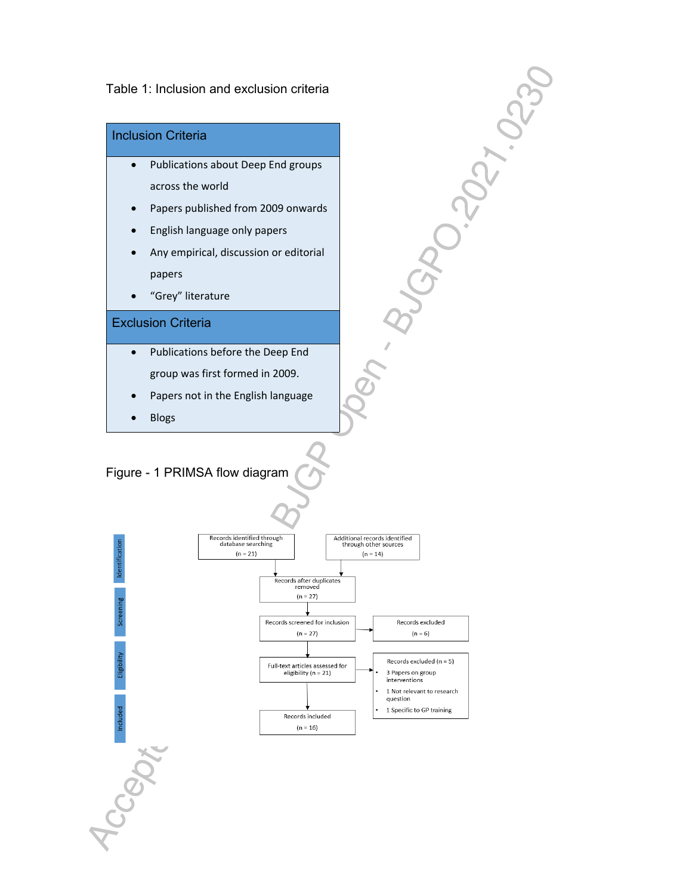